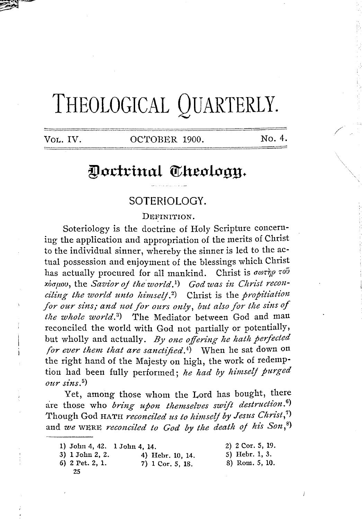# **THEOLOGICAL QUARTERLY.**

Vol. IV. COCTOBER 1900. No. 4.

# Doctrinal Theology.

## SOTERIOLOGY.

#### DEFINITION.

Soteriology is the doctrine of Holy Scripture concerning the application and appropriation of the merits of Christ to the individual sinner, whereby the sinner is led to the actual possession and enjoyment of the blessings which Christ has actually procured for all mankind. Christ is  $\sigma \omega \tau \gamma \rho \tau o\tilde{\nu}$  $x_0$ <sub>*bopov*, the *Savior of the world*.<sup>1</sup>) God was in Christ recon-</sub> *ciling the world unto himself.<sup>2</sup>)* Christ is the *propitiation for our sins; and not for ours only, but also for the sins of*  the whole world.<sup>3</sup>) The Mediator between God and man reconciled the world with God not partially or potentially, but wholly and actually. *By one offering he hath perfected for ever them that are sanctified.*<sup>4</sup>) When he sat down on the right hand of the Majesty on high, the work of redemption had been fully performed; he had by himself purged  $our \, sins.$ <sup>5</sup>)

Yet, among those whom the Lord has bought, there are those who *bring upon themselves swift destruction*.<sup>6</sup>) Though God HATH *reconciled us to himself by Jesus Christ*,<sup>7</sup>) and *we* WERE *reconciled to God by the death of his Son*,<sup>8</sup>)

1) John 4, 42. 1 John 4, 14.

2) 2 Cor. 5, 19.

/

- 3) 1 John 2, 2. 6) 2 Pet. 2, 1. 25
- 4) Hehr. 10, 14. 7) 1 Cor, 5, 18.
- 5) Hebr. 1, 3. 8) Rom. 5, 10.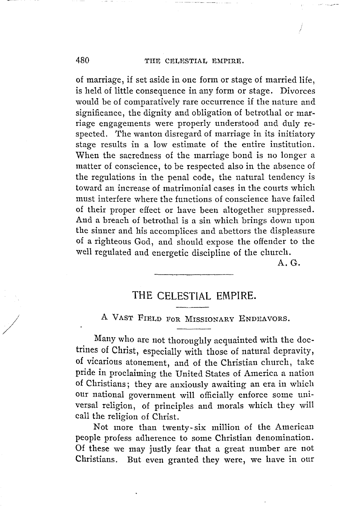of marriage, if set aside in one form or stage of married life, is held of little consequence in any form or stage. Divorces would be of comparatively rare occurrence if the nature and significance, the dignity and obligation of betrothal or marriage engagements were properly understood and duly respected. The wanton disregard of marriage in its initiatory stage results in a low estimate of the entire institution. When the sacredness of the marriage bond is no longer a matter of conscience, to be respected also in the absence of the regulations in the penal code, the natural tendency is toward an increase of matrimonial cases in the courts which must interfere where the functions of conscience have failed of their proper effect or have been altogether suppressed. And a breach of betrothal is a sin which brings down upon the sinner and his accomplices and abettors the displeasure of a righteous God, and should expose the offender to the well regulated and energetic discipline of the church.

A.G.

### **THE CELESTIAL EMPIRE.**

A VAST FIELD FoR MISSIONARY ENDEAVORS.

Many who are not thoroughly acquainted with the doctrines of Christ, especially with those of natural depravity, of vicarious atonement, and of the Christian church, take pride in proclaiming the United States of America a nation of Christians; they are anxiously awaiting an era in which our national government will officially enforce some universal religion, of principles and morals which they will call the religion of Christ.

Not more than twenty- six million of the American people profess adherence to some Christian denomination. Of these we may justly fear that a great number are not Christians. But even granted they were, we have in our

/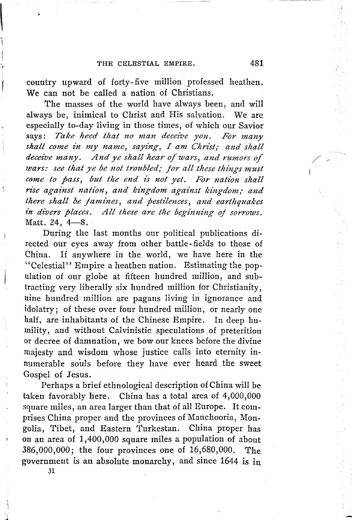country upward of forty-five million professed heathen. We can not be called a nation of Christians.

The masses of the world have always been, and **will**  always be, inimical to Christ and His salvation. We are especially to-day living **in** those times, of which our Savior says: *Take heed that no man deceive you. For many shall come in my name, saying, I am Christ; and shall* deceive many. And ye shall hear of wars, and rumors of *wars:* see that ye be not troubled; for all these things must come to pass, but the end is not yet. For nation shall rise against nation, and kingdom against kingdom; and *there shall be /amines, and pestilences, and earthquakes in divers places. All these are the beginning oj sorrows.*  Matt. 24,  $4-8$ .

During the last months our political publications directed our eyes away from other battle- fields to those of China. If anywhere in the world, we have here in the ''Celestial'' Empire a heathen nation. Estimating the population of our globe at fifteen hundred million, and subtracting very liberally six hundred million for Christianity, uine hundred million are pagans living in ignorance and idolatry; of these over four hundred million, or nearly one half, are inhabitants of the Chinese Empire. In deep humility, and without Calvinistic speculations of preterition or decree of damnation, we bow our knees before the divine tnajesty and wisdom whose justice calls into eternity innumerable souls before they have ever heard the sweet Gospel of Jesus.

Perhaps a brief ethnological description of China will be taken favorably here. China has a total area of 4,000,000 square miles, an area larger than that of all Europe. It comprises China proper and the provinces of Manchooria, Mongolia, Tibet, and Eastern Turkestan. China proper has on an area of 1,400,000 square miles a population of about 386,000,000; the four provinces one of 16,680,000. The government is an absolute monarchy, and since 1644 is in

/,

**31**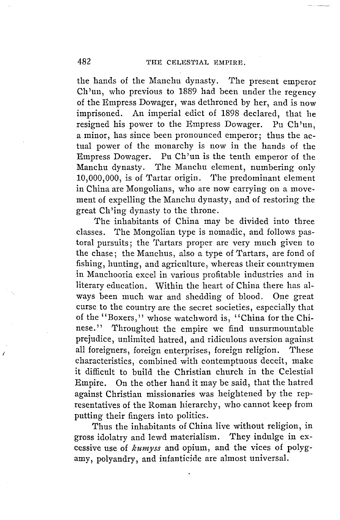the hands of the Manchu dynasty. The present emperor Ch 'un, who previous to 1889 had been under the regency of the Empress Dowager, was dethroned by her, and is now imprisoned. An imperial edict of 1898 declared, that he resigned his power to the Empress Dowager. Pu Ch'un, a minor, has since been pronounced emperor; thus the actual power of the monarchy is now in the hands of the Empress Dowager. Pu Ch 'un is the tenth emperor of the Manchu dynasty. The Manchu element, numbering only  $10,000,000$ , is of Tartar origin. The predominant element in China are Mongolians, who are now carrying on a movement of expelling the Manchu dynasty, and of restoring the great Ch'ing dynasty to the throne.

The inhabitants of China may be divided into three classes. The Mongolian type is nomadic, and follows pastoral pursuits; the Tartars proper are very much given to the chase; the Manchus, also a type of Tartars, are fond of fishing, hunting, and agriculture, whereas their countrymen in Manchooria excel in various profitable industries and in literary education. Within the heart of China there has always been much war and shedding of blood. One great curse to the country are the secret societies, especially that of the ''Boxers,'' whose watchword is, '' China for the Chinese.'' Throughout the empire we find unsurmountable prejudice, unlimited hatred, and ridiculous aversion against all foreigners, foreign enterprises, foreign religion. These characteristics, combined with contemptuous deceit, make it difficult to build the Christian church in the Celestial Empire. On the other hand it may be said, that the hatred against Christian missionaries was heightened by the representatives of the Roman hierarchy, who cannot keep from putting their fingers into politics.

Thus the inhabitants of China live without religion, in gross idolatry and lewd materialism. They indulge in excessive use of *kmnyss* and opium, and the vices of polygamy, polyandry, and infanticide are almost universal.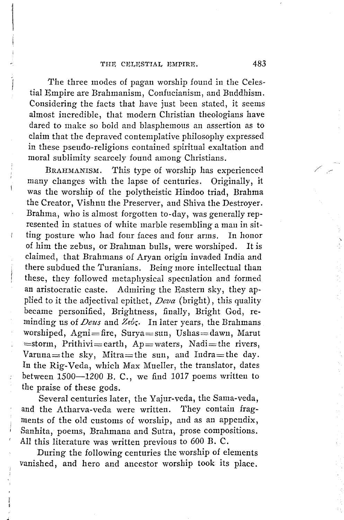The three modes of pagan worship found in the Celestial Empire are Brahmanism, Confucianism, and Buddhism. Considering the facts that have just been stated, it seems almost incredible, that modern Christian theologians have dared to make so bold and blasphemous an assertion as to claim that the depraved contemplative philosophy expressed in these pseudo-religions contained spiritual exaltation and moral sublimity scarcely found among Christians.

BRAHMANISM. This type of worship has experienced many changes with the lapse of centuries. Originally, it was the worship of the polytheistic Hindoo triad, Brahma the Creator, Vishnu the Preserver, and Shiva the Destroyer. Brahma, who is almost forgotten to-day, was generally represented in statues of white marble resembling a man in sitting posture who had four faces and four arms. In honor of him the zebus, or Brahman bulls, were worshiped. It is claimed, that Brahmans of Aryan origin invaded India and there subdued the Turanians. Being more intellectual than these, they followed metaphysical speculation and formed an aristocratic caste. Admiring the Eastern sky, they applied to it the adjectival epithet, *Deva* (bright), this quality became personified, Brightness, finally, Bright God, reminding us of *Deus* and *Zev;.* In later years, the Brahmans worshiped, Agni=fire, Surya=sun, Ushas=dawn, Marut =storm, Prithivi=earth, Ap=waters, Nadi=the rivers. Varuna=the sky, Mitra=the sun, and Indra=the day. In the Rig-Veda, which Max Mueller, the translator, dates between  $1500-1200$  B. C., we find 1017 poems written to the praise of these gods.

Several centuries later, the Yajur-veda, the Sama-veda, and the Atharva-veda were written. They contain fragments of the old customs of worship, and as an appendix, Sanhita, poems, Brahmana and Sutra, prose compositions. All this literature was written previous to 600 B. C.

During the following centuries the worship of elements vanished, and hero and ancestor worship took its place. /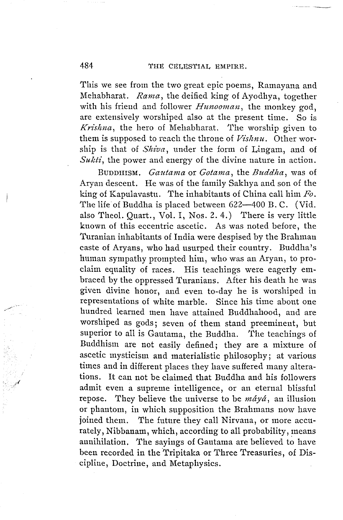This we see from the two great epic poems, Ramayana and Mehabharat. *Rama,* the deified king of Ayodhya, together with his friend and follower *Hunooman,* the monkey god, are extensively worshiped also at the present time. So is *Krishna,* the hero of Mehabharat. The worship given to them is supposed to reach the throne of *Vishnu.* Other worship is that of *Shiva*, under the form of Lingam, and of *Sukti*, the power and energy of the divine nature in action.

BUDDHISM. *Gautama* or *Gotama,* the *Buddha,* was of Aryan descent. He was of the family Sakhya and son of the king of Kapulavastu. The inhabitants of China call him *Fo.*  The life of Buddha is placed between 622-400 B.C. (Vid. also Theol. Quart., Vol. I, Nos. 2. 4.) There is very little known of this eccentric ascetic. As was noted before, the 'l'uranian inhabitants of India were despised by the Brahman caste of Aryans, who had usurped their country. Buddha's human sympathy prompted him, who was an Aryan, to proclaim equality of races. His teachings were eagerly embraced by the oppressed Turanians. After his death he was given divine honor, and even to-day he is worshiped in representations of white marble. Since his time about one hundred learned men have attained Buddhahood, and are worshiped as gods; seven of them stand preeminent, but superior to all is Gautama, the Buddha. The teachings of Buddhism are not easily defined; they are a mixture of ascetic mysticism and materialistic philosophy; at various times and in different places they have suffered many alterations. It can not be claimed that Buddha and his followers admit even a supreme intelligence, or an eternal blissful repose. They believe the universe to be *maya,* an illusion or phantom, in which supposition the Brahmans now have joined them. The future they call Nirvana, or more accurately, Nibbanam, which, according to all probability, means annihilation. The sayings of Gautama are believed to have been recorded in the Tripitaka or Three Treasuries, of Discipline, Doctrine, and Metaphysics.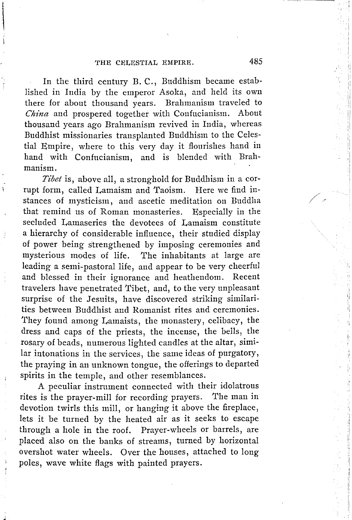In the third century B. C., Buddhism became established in India by the emperor Asoka, and held its own there for about thousand vears. Brahmanism traveled to *China* and prospered together with Confucianism. About thousand years ago Brahmanism revived in India, whereas Buddhist missionaries transplanted Buddhism to the Celestial Empire, where to this very day it flourishes hand in hand with Confucianism, and is blended with Brahmanism.

*Tibet* is, above all, a stronghold for Buddhism in a corrupt form, called Lamaism and Taoism. Here we find instances of mysticism, and ascetic meditation on Buddha that remind us of Roman monasteries. Especially in the secluded Lamaseries the devotees of Lamaism constitute a hierarchy of considerable influence, their studied display of power being strengthened by imposing ceremonies and mysterious modes of life. The inhabitants at large are leading a semi-pastoral life, and appear to be very cheerful and blessed in their ignorance and heathendom. Recent travelers have penetrated Tibet, and, to the very unpleasant surprise of the Jesuits, have discovered striking similarities between Buddhist and Romanist rites and ceremonies. They found among Lamaists, the monastery, celibacy, the dress and caps of the priests, the incense, the bells, the rosary of beads, numerous lighted candles at the altar, similar intonations in the services, the same ideas of purgatory, the praying in an unknown tongue, the offerings to departed spirits in the temple, and other resemblances.

A peculiar instrument connected with their idolatrous rites is the prayer-mill for recording prayers. The man in devotion twirls this mill, or hanging it above the fireplace, lets it be turned by the heated air as it seeks to escape through a hole in the roof. Prayer-wheels or barrels, are placed also on the banks of streams, turned by horizontal overshot water wheels. Over the houses, attached to long poles, wave white flags with painted prayers.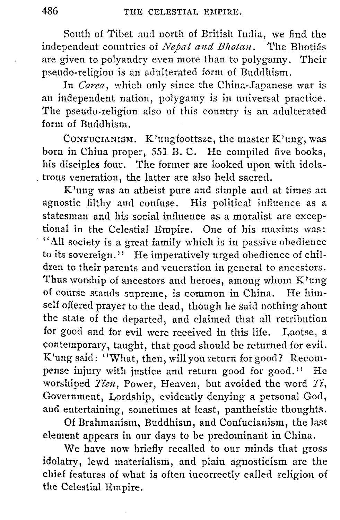South of Tibet and north of British India, we find the independent countries of *Nepal and Bhotan.* The Bhotias are given to polyandry even more than to polygamy. Their pseudo-religion is an adulterated form of Buddhism.

In *Corea,* which only since the China-Japanese war is an independent nation, polygamy is in universal practice. The pseudo-religion also of this country is an adulterated form of Buddhism.

CONFUCIANISM. K'ungfoottsze, the master K'ung, was born in China proper, 551 B. C. He compiled five books, his disciples four. The former are looked upon with idola- . trous veneration, the latter are also held sacred.

K'ung was an atheist pure and simple and at times an agnostic filthy and confuse. His political influence as a statesman and his social influence as a moralist are exceptional in the Celestial Empire. One of his maxims was: '' All society is a great family which is in passive obedience to its sovereign.'' He imperatively urged obedience of children to their parents and veneration in general to ancestors. Thus worship of ancestors and heroes, among whom K'ung of course stands supreme, is common in China. He himself offered prayer to the dead, though he said nothing about the state of the departed, and claimed that all retribution for good and for evil were received in this life. Laotse, a contemporary, taught, that good should be returned for evil. K'ung said: ''What, then, will you return for good? Recompense injury with justice and return good for good.'' He worshiped *Tien,* Power, Heaven, but avoided the word *Ti,*  Government, Lordship, evidently denying a personal God, and entertaining, sometimes at least, pantheistic thoughts.

Of Brahmanism, Buddhism, and Confucianism, the last element appears in our days to be predominant in China.

We have now briefly recalled to our minds that gross idolatry, lewd materialism, and plain agnosticism are the chief features of what is often incorrectly called religion of the Celestial Empire.